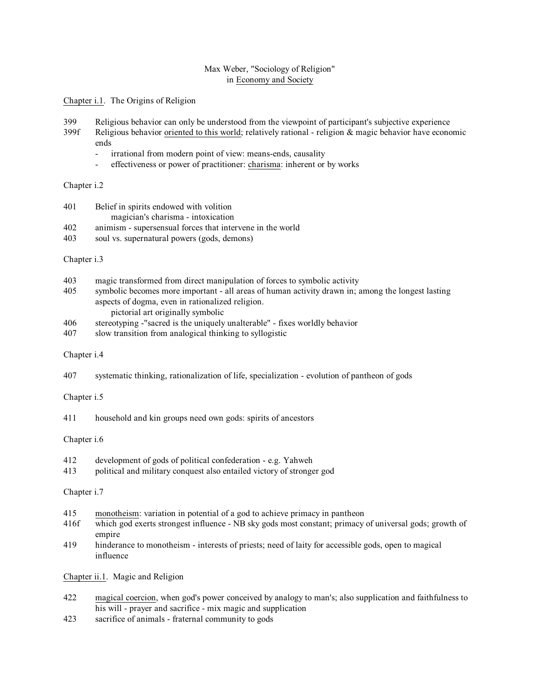# Max Weber, "Sociology of Religion" in Economy and Society

Chapter i.1. The Origins of Religion

- 399 Religious behavior can only be understood from the viewpoint of participant's subjective experience
- 399f Religious behavior oriented to this world; relatively rational religion & magic behavior have economic ends
	- irrational from modern point of view: means-ends, causality
	- effectiveness or power of practitioner: charisma: inherent or by works

Chapter i.2

- 401 Belief in spirits endowed with volition magician's charisma - intoxication 402 animism - supersensual forces that intervene in the world
- 403 soul vs. supernatural powers (gods, demons)
- Chapter i.3
- 403 magic transformed from direct manipulation of forces to symbolic activity
- 405 symbolic becomes more important all areas of human activity drawn in; among the longest lasting aspects of dogma, even in rationalized religion. pictorial art originally symbolic
- 406 stereotyping -"sacred is the uniquely unalterable" fixes worldly behavior
- 407 slow transition from analogical thinking to syllogistic

## Chapter i.4

407 systematic thinking, rationalization of life, specialization - evolution of pantheon of gods

Chapter i.5

411 household and kin groups need own gods: spirits of ancestors

Chapter i.6

- 412 development of gods of political confederation e.g. Yahweh
- 413 political and military conquest also entailed victory of stronger god

Chapter i.7

- 415 monotheism: variation in potential of a god to achieve primacy in pantheon
- 416f which god exerts strongest influence NB sky gods most constant; primacy of universal gods; growth of empire
- 419 hinderance to monotheism interests of priests; need of laity for accessible gods, open to magical influence

Chapter ii.1. Magic and Religion

- 422 magical coercion, when god's power conceived by analogy to man's; also supplication and faithfulness to his will - prayer and sacrifice - mix magic and supplication
- 423 sacrifice of animals fraternal community to gods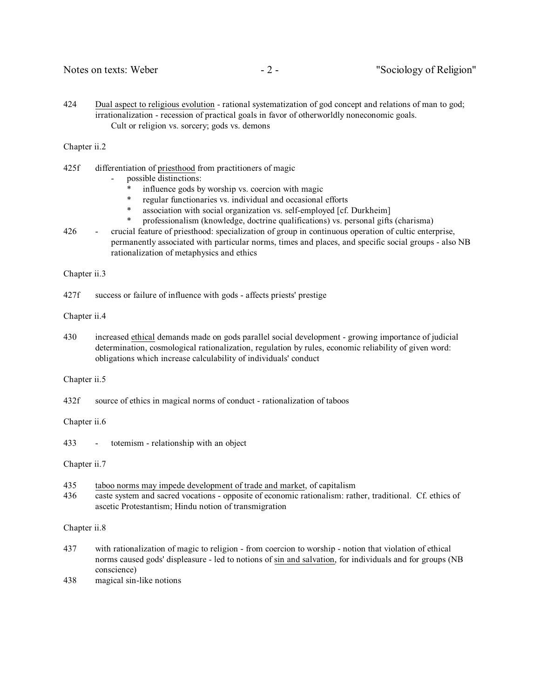424 Dual aspect to religious evolution - rational systematization of god concept and relations of man to god; irrationalization - recession of practical goals in favor of otherworldly noneconomic goals. Cult or religion vs. sorcery; gods vs. demons

Chapter ii.2

- 425f differentiation of priesthood from practitioners of magic
	- possible distinctions:
		- \* influence gods by worship vs. coercion with magic<br>\* requier functionaries vs. individual and occasional
		- regular functionaries vs. individual and occasional efforts
		- \* association with social organization vs. self-employed [cf. Durkheim]<br>\* professionalism (knowledge doctrine qualifications) vs. personal gifts
		- professionalism (knowledge, doctrine qualifications) vs. personal gifts (charisma)
- 426 crucial feature of priesthood: specialization of group in continuous operation of cultic enterprise, permanently associated with particular norms, times and places, and specific social groups - also NB rationalization of metaphysics and ethics

Chapter ii.3

427f success or failure of influence with gods - affects priests' prestige

Chapter ii.4

430 increased ethical demands made on gods parallel social development - growing importance of judicial determination, cosmological rationalization, regulation by rules, economic reliability of given word: obligations which increase calculability of individuals' conduct

Chapter ii.5

432f source of ethics in magical norms of conduct - rationalization of taboos

Chapter ii.6

433 - totemism - relationship with an object

Chapter ii.7

- 435 taboo norms may impede development of trade and market, of capitalism
- 436 caste system and sacred vocations opposite of economic rationalism: rather, traditional. Cf. ethics of ascetic Protestantism; Hindu notion of transmigration

Chapter ii.8

- 437 with rationalization of magic to religion from coercion to worship notion that violation of ethical norms caused gods' displeasure - led to notions of sin and salvation, for individuals and for groups (NB conscience)
- 438 magical sin-like notions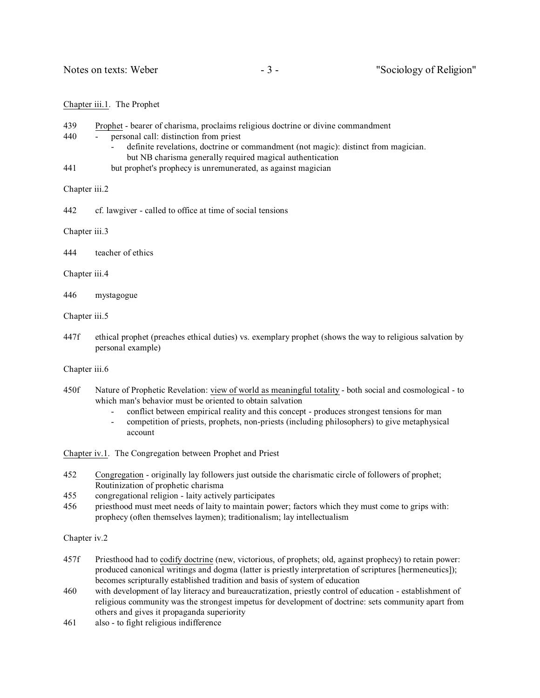#### Chapter iii.1. The Prophet

- 439 Prophet bearer of charisma, proclaims religious doctrine or divine commandment
- 440 personal call: distinction from priest
	- definite revelations, doctrine or commandment (not magic): distinct from magician. but NB charisma generally required magical authentication
- 441 but prophet's prophecy is unremunerated, as against magician

Chapter iii.2

442 cf. lawgiver - called to office at time of social tensions

Chapter iii.3

444 teacher of ethics

Chapter iii.4

446 mystagogue

Chapter iii.5

447f ethical prophet (preaches ethical duties) vs. exemplary prophet (shows the way to religious salvation by personal example)

Chapter iii.6

- 450f Nature of Prophetic Revelation: view of world as meaningful totality both social and cosmological to which man's behavior must be oriented to obtain salvation
	- conflict between empirical reality and this concept produces strongest tensions for man
	- competition of priests, prophets, non-priests (including philosophers) to give metaphysical account

Chapter iv.1. The Congregation between Prophet and Priest

- 452 Congregation originally lay followers just outside the charismatic circle of followers of prophet; Routinization of prophetic charisma
- 455 congregational religion laity actively participates
- 456 priesthood must meet needs of laity to maintain power; factors which they must come to grips with: prophecy (often themselves laymen); traditionalism; lay intellectualism

Chapter iv.2

- 457f Priesthood had to codify doctrine (new, victorious, of prophets; old, against prophecy) to retain power: produced canonical writings and dogma (latter is priestly interpretation of scriptures [hermeneutics]); becomes scripturally established tradition and basis of system of education
- 460 with development of lay literacy and bureaucratization, priestly control of education establishment of religious community was the strongest impetus for development of doctrine: sets community apart from others and gives it propaganda superiority
- 461 also to fight religious indifference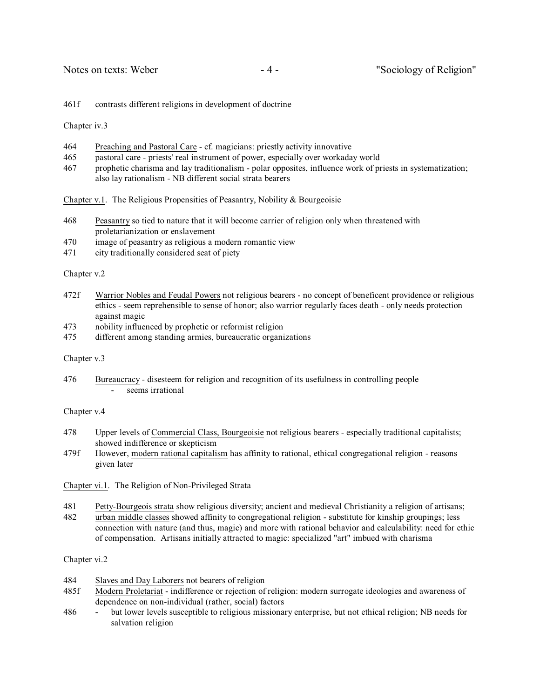461f contrasts different religions in development of doctrine

Chapter iv.3

- 464 Preaching and Pastoral Care cf. magicians: priestly activity innovative
- 465 pastoral care priests' real instrument of power, especially over workaday world
- 467 prophetic charisma and lay traditionalism polar opposites, influence work of priests in systematization; also lay rationalism - NB different social strata bearers

Chapter v.1. The Religious Propensities of Peasantry, Nobility & Bourgeoisie

- 468 Peasantry so tied to nature that it will become carrier of religion only when threatened with proletarianization or enslavement
- 470 image of peasantry as religious a modern romantic view
- 471 city traditionally considered seat of piety

Chapter v.2

- 472f Warrior Nobles and Feudal Powers not religious bearers no concept of beneficent providence or religious ethics - seem reprehensible to sense of honor; also warrior regularly faces death - only needs protection against magic
- 473 nobility influenced by prophetic or reformist religion
- 475 different among standing armies, bureaucratic organizations

Chapter v.3

476 Bureaucracy - disesteem for religion and recognition of its usefulness in controlling people seems irrational

Chapter v.4

- 478 Upper levels of Commercial Class, Bourgeoisie not religious bearers especially traditional capitalists; showed indifference or skepticism
- 479f However, modern rational capitalism has affinity to rational, ethical congregational religion reasons given later

Chapter vi.1. The Religion of Non-Privileged Strata

- 481 Petty-Bourgeois strata show religious diversity; ancient and medieval Christianity a religion of artisans;
- 482 urban middle classes showed affinity to congregational religion substitute for kinship groupings; less connection with nature (and thus, magic) and more with rational behavior and calculability: need for ethic of compensation. Artisans initially attracted to magic: specialized "art" imbued with charisma

# Chapter vi.2

- 484 Slaves and Day Laborers not bearers of religion
- 485f Modern Proletariat indifference or rejection of religion: modern surrogate ideologies and awareness of dependence on non-individual (rather, social) factors
- 486 but lower levels susceptible to religious missionary enterprise, but not ethical religion; NB needs for salvation religion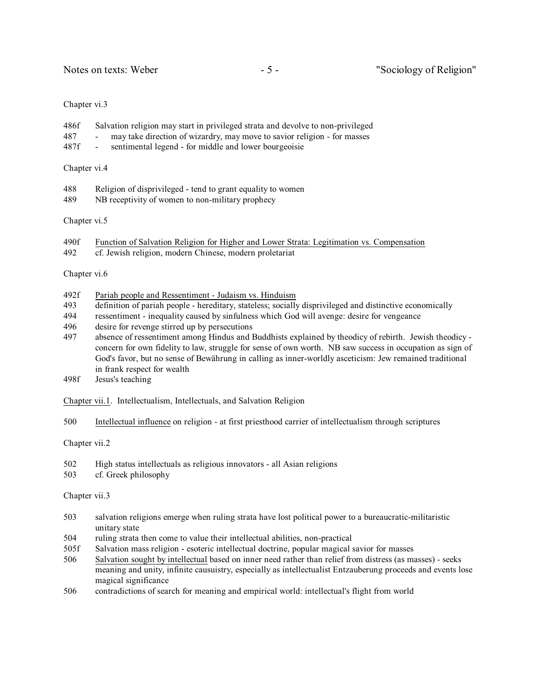### Chapter vi.3

- 486f Salvation religion may start in privileged strata and devolve to non-privileged
- 487 may take direction of wizardry, may move to savior religion for masses
- 487f sentimental legend for middle and lower bourgeoisie

### Chapter vi.4

- 488 Religion of disprivileged tend to grant equality to women
- 489 NB receptivity of women to non-military prophecy

# Chapter vi.5

- 490f Function of Salvation Religion for Higher and Lower Strata: Legitimation vs. Compensation
- 492 cf. Jewish religion, modern Chinese, modern proletariat

# Chapter vi.6

- 492f Pariah people and Ressentiment Judaism vs. Hinduism
- 493 definition of pariah people hereditary, stateless; socially disprivileged and distinctive economically
- 494 ressentiment inequality caused by sinfulness which God will avenge: desire for vengeance
- 496 desire for revenge stirred up by persecutions
- 497 absence of ressentiment among Hindus and Buddhists explained by theodicy of rebirth. Jewish theodicy concern for own fidelity to law, struggle for sense of own worth. NB saw success in occupation as sign of God's favor, but no sense of Bewährung in calling as inner-worldly asceticism: Jew remained traditional in frank respect for wealth
- 498f Jesus's teaching
- Chapter vii.1. Intellectualism, Intellectuals, and Salvation Religion
- 500 Intellectual influence on religion at first priesthood carrier of intellectualism through scriptures

# Chapter vii.2

- 502 High status intellectuals as religious innovators all Asian religions
- 503 cf. Greek philosophy

# Chapter vii.3

- 503 salvation religions emerge when ruling strata have lost political power to a bureaucratic-militaristic unitary state
- 504 ruling strata then come to value their intellectual abilities, non-practical
- 505f Salvation mass religion esoteric intellectual doctrine, popular magical savior for masses
- 506 Salvation sought by intellectual based on inner need rather than relief from distress (as masses) seeks meaning and unity, infinite causuistry, especially as intellectualist Entzauberung proceeds and events lose magical significance
- 506 contradictions of search for meaning and empirical world: intellectual's flight from world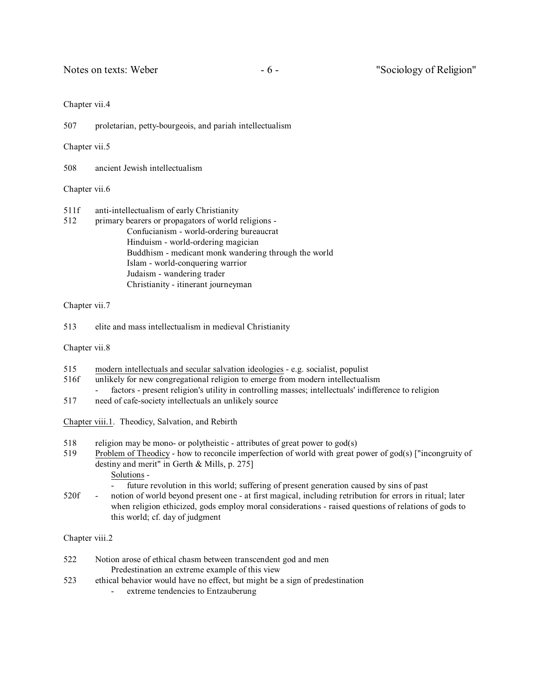Notes on texts: Weber - 6 - "Sociology of Religion"

### Chapter vii.4

507 proletarian, petty-bourgeois, and pariah intellectualism

Chapter vii.5

508 ancient Jewish intellectualism

Chapter vii.6

511f anti-intellectualism of early Christianity 512 primary bearers or propagators of world religions - Confucianism - world-ordering bureaucrat Hinduism - world-ordering magician Buddhism - medicant monk wandering through the world Islam - world-conquering warrior Judaism - wandering trader Christianity - itinerant journeyman

## Chapter vii.7

513 elite and mass intellectualism in medieval Christianity

Chapter vii.8

- 515 modern intellectuals and secular salvation ideologies e.g. socialist, populist
- 516f unlikely for new congregational religion to emerge from modern intellectualism factors - present religion's utility in controlling masses; intellectuals' indifference to religion
- 517 need of cafe-society intellectuals an unlikely source

Chapter viii.1. Theodicy, Salvation, and Rebirth

- 518 religion may be mono- or polytheistic attributes of great power to god(s)
- 519 Problem of Theodicy how to reconcile imperfection of world with great power of god(s) ["incongruity of destiny and merit" in Gerth & Mills, p. 275]

Solutions -

- future revolution in this world; suffering of present generation caused by sins of past
- 520f notion of world beyond present one at first magical, including retribution for errors in ritual; later when religion ethicized, gods employ moral considerations - raised questions of relations of gods to this world; cf. day of judgment

Chapter viii.2

- 522 Notion arose of ethical chasm between transcendent god and men Predestination an extreme example of this view
- 523 ethical behavior would have no effect, but might be a sign of predestination
	- extreme tendencies to Entzauberung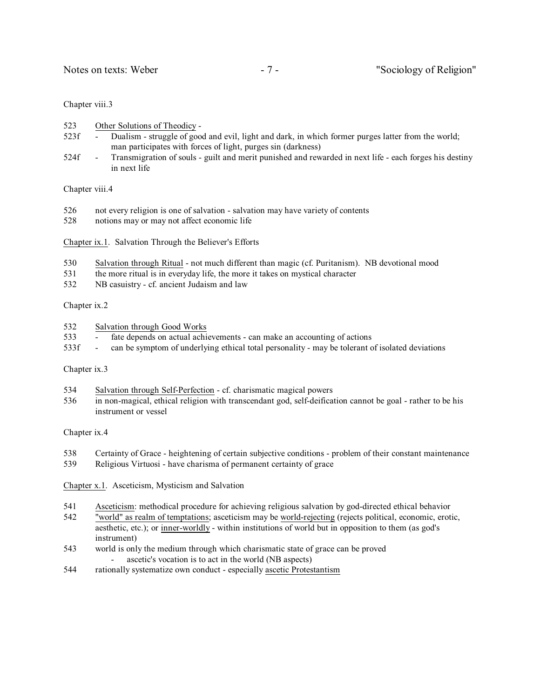### Chapter viii.3

- 523 Other Solutions of Theodicy -
- 523f Dualism struggle of good and evil, light and dark, in which former purges latter from the world; man participates with forces of light, purges sin (darkness)
- 524f Transmigration of souls guilt and merit punished and rewarded in next life each forges his destiny in next life

Chapter viii.4

- 526 not every religion is one of salvation salvation may have variety of contents
- 528 notions may or may not affect economic life
- Chapter ix.1. Salvation Through the Believer's Efforts
- 530 Salvation through Ritual not much different than magic (cf. Puritanism). NB devotional mood
- 531 the more ritual is in everyday life, the more it takes on mystical character
- 532 NB casuistry cf. ancient Judaism and law

# Chapter ix.2

- 532 Salvation through Good Works
- 533 fate depends on actual achievements can make an accounting of actions
- 533f can be symptom of underlying ethical total personality may be tolerant of isolated deviations

#### Chapter ix.3

- 534 Salvation through Self-Perfection cf. charismatic magical powers
- 536 in non-magical, ethical religion with transcendant god, self-deification cannot be goal rather to be his instrument or vessel

#### Chapter ix.4

- 538 Certainty of Grace heightening of certain subjective conditions problem of their constant maintenance
- 539 Religious Virtuosi have charisma of permanent certainty of grace
- Chapter x.1. Asceticism, Mysticism and Salvation
- 541 Asceticism: methodical procedure for achieving religious salvation by god-directed ethical behavior
- 542 "world" as realm of temptations; asceticism may be world-rejecting (rejects political, economic, erotic, aesthetic, etc.); or inner-worldly - within institutions of world but in opposition to them (as god's instrument)
- 543 world is only the medium through which charismatic state of grace can be proved ascetic's vocation is to act in the world (NB aspects)
- 544 rationally systematize own conduct especially ascetic Protestantism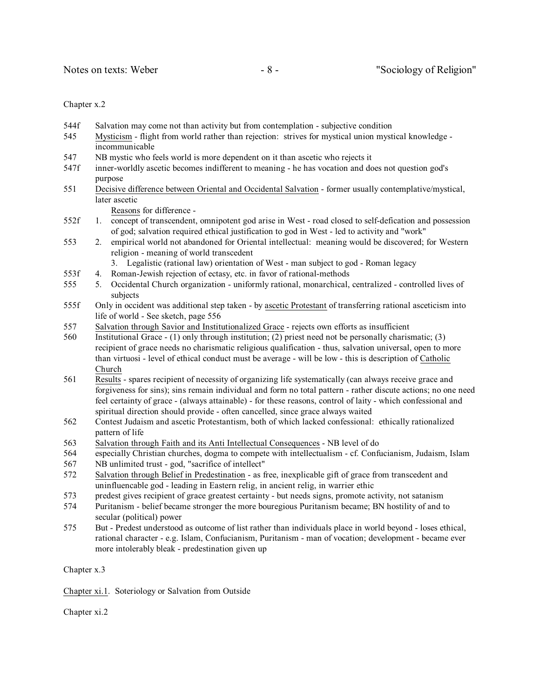#### Chapter x.2

- 544f Salvation may come not than activity but from contemplation subjective condition 545 Mysticism - flight from world rather than rejection: strives for mystical union mystical knowledge -
- incommunicable
- 547 NB mystic who feels world is more dependent on it than ascetic who rejects it
- 547f inner-worldly ascetic becomes indifferent to meaning he has vocation and does not question god's purpose
- 551 Decisive difference between Oriental and Occidental Salvation former usually contemplative/mystical, later ascetic

Reasons for difference -

- 552f 1. concept of transcendent, omnipotent god arise in West road closed to self-defication and possession of god; salvation required ethical justification to god in West - led to activity and "work"
- 553 2. empirical world not abandoned for Oriental intellectual: meaning would be discovered; for Western religion - meaning of world transcedent
	- 3. Legalistic (rational law) orientation of West man subject to god Roman legacy
- 553f 4. Roman-Jewish rejection of ectasy, etc. in favor of rational-methods
- 555 5. Occidental Church organization uniformly rational, monarchical, centralized controlled lives of subjects
- 555f Only in occident was additional step taken by ascetic Protestant of transferring rational asceticism into life of world - See sketch, page 556
- 557 Salvation through Savior and Institutionalized Grace rejects own efforts as insufficient
- 560 Institutional Grace (1) only through institution; (2) priest need not be personally charismatic; (3) recipient of grace needs no charismatic religious qualification - thus, salvation universal, open to more than virtuosi - level of ethical conduct must be average - will be low - this is description of Catholic Church
- 561 Results spares recipient of necessity of organizing life systematically (can always receive grace and forgiveness for sins); sins remain individual and form no total pattern - rather discute actions; no one need feel certainty of grace - (always attainable) - for these reasons, control of laity - which confessional and spiritual direction should provide - often cancelled, since grace always waited
- 562 Contest Judaism and ascetic Protestantism, both of which lacked confessional: ethically rationalized pattern of life
- 563 Salvation through Faith and its Anti Intellectual Consequences NB level of do
- 564 especially Christian churches, dogma to compete with intellectualism cf. Confucianism, Judaism, Islam
- 567 NB unlimited trust god, "sacrifice of intellect"
- 572 Salvation through Belief in Predestination as free, inexplicable gift of grace from transcedent and uninfluencable god - leading in Eastern relig, in ancient relig, in warrier ethic
- 573 predest gives recipient of grace greatest certainty but needs signs, promote activity, not satanism
- 574 Puritanism belief became stronger the more bouregious Puritanism became; BN hostility of and to secular (political) power
- 575 But Predest understood as outcome of list rather than individuals place in world beyond loses ethical, rational character - e.g. Islam, Confucianism, Puritanism - man of vocation; development - became ever more intolerably bleak - predestination given up

Chapter x.3

Chapter xi.1. Soteriology or Salvation from Outside

Chapter xi.2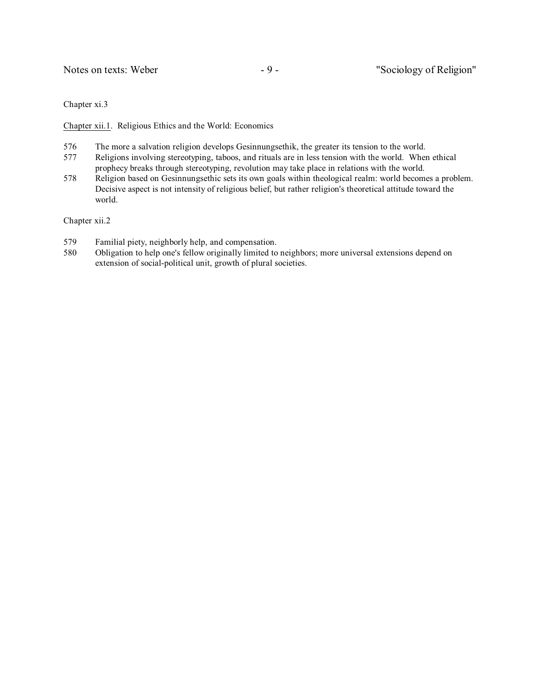Notes on texts: Weber - 9 - "Sociology of Religion"

Chapter xi.3

Chapter xii.1. Religious Ethics and the World: Economics

- 576 The more a salvation religion develops Gesinnungsethik, the greater its tension to the world.
- 577 Religions involving stereotyping, taboos, and rituals are in less tension with the world. When ethical prophecy breaks through stereotyping, revolution may take place in relations with the world.
- 578 Religion based on Gesinnungsethic sets its own goals within theological realm: world becomes a problem. Decisive aspect is not intensity of religious belief, but rather religion's theoretical attitude toward the world.

Chapter xii.2

- 579 Familial piety, neighborly help, and compensation.
- 580 Obligation to help one's fellow originally limited to neighbors; more universal extensions depend on extension of social-political unit, growth of plural societies.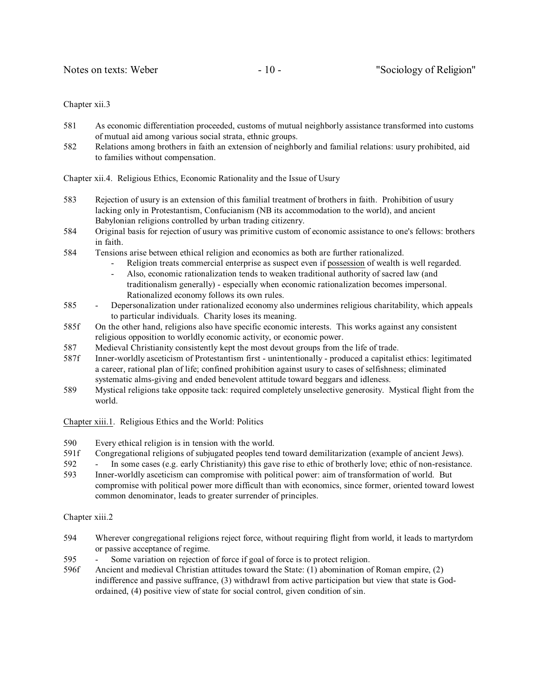Chapter xii.3

- 581 As economic differentiation proceeded, customs of mutual neighborly assistance transformed into customs of mutual aid among various social strata, ethnic groups.
- 582 Relations among brothers in faith an extension of neighborly and familial relations: usury prohibited, aid to families without compensation.

Chapter xii.4. Religious Ethics, Economic Rationality and the Issue of Usury

- 583 Rejection of usury is an extension of this familial treatment of brothers in faith. Prohibition of usury lacking only in Protestantism, Confucianism (NB its accommodation to the world), and ancient Babylonian religions controlled by urban trading citizenry.
- 584 Original basis for rejection of usury was primitive custom of economic assistance to one's fellows: brothers in faith.
- 584 Tensions arise between ethical religion and economics as both are further rationalized.
	- Religion treats commercial enterprise as suspect even if possession of wealth is well regarded.
	- Also, economic rationalization tends to weaken traditional authority of sacred law (and traditionalism generally) - especially when economic rationalization becomes impersonal. Rationalized economy follows its own rules.
- 585 Depersonalization under rationalized economy also undermines religious charitability, which appeals to particular individuals. Charity loses its meaning.
- 585f On the other hand, religions also have specific economic interests. This works against any consistent religious opposition to worldly economic activity, or economic power.
- 587 Medieval Christianity consistently kept the most devout groups from the life of trade.
- 587f Inner-worldly asceticism of Protestantism first unintentionally produced a capitalist ethics: legitimated a career, rational plan of life; confined prohibition against usury to cases of selfishness; eliminated systematic alms-giving and ended benevolent attitude toward beggars and idleness.
- 589 Mystical religions take opposite tack: required completely unselective generosity. Mystical flight from the world.

Chapter xiii.1. Religious Ethics and the World: Politics

- 590 Every ethical religion is in tension with the world.
- 591f Congregational religions of subjugated peoples tend toward demilitarization (example of ancient Jews).
- 592 In some cases (e.g. early Christianity) this gave rise to ethic of brotherly love; ethic of non-resistance.
- 593 Inner-worldly asceticism can compromise with political power: aim of transformation of world. But compromise with political power more difficult than with economics, since former, oriented toward lowest common denominator, leads to greater surrender of principles.

Chapter xiii.2

- 594 Wherever congregational religions reject force, without requiring flight from world, it leads to martyrdom or passive acceptance of regime.
- 595 Some variation on rejection of force if goal of force is to protect religion.
- 596f Ancient and medieval Christian attitudes toward the State: (1) abomination of Roman empire, (2) indifference and passive suffrance, (3) withdrawl from active participation but view that state is Godordained, (4) positive view of state for social control, given condition of sin.